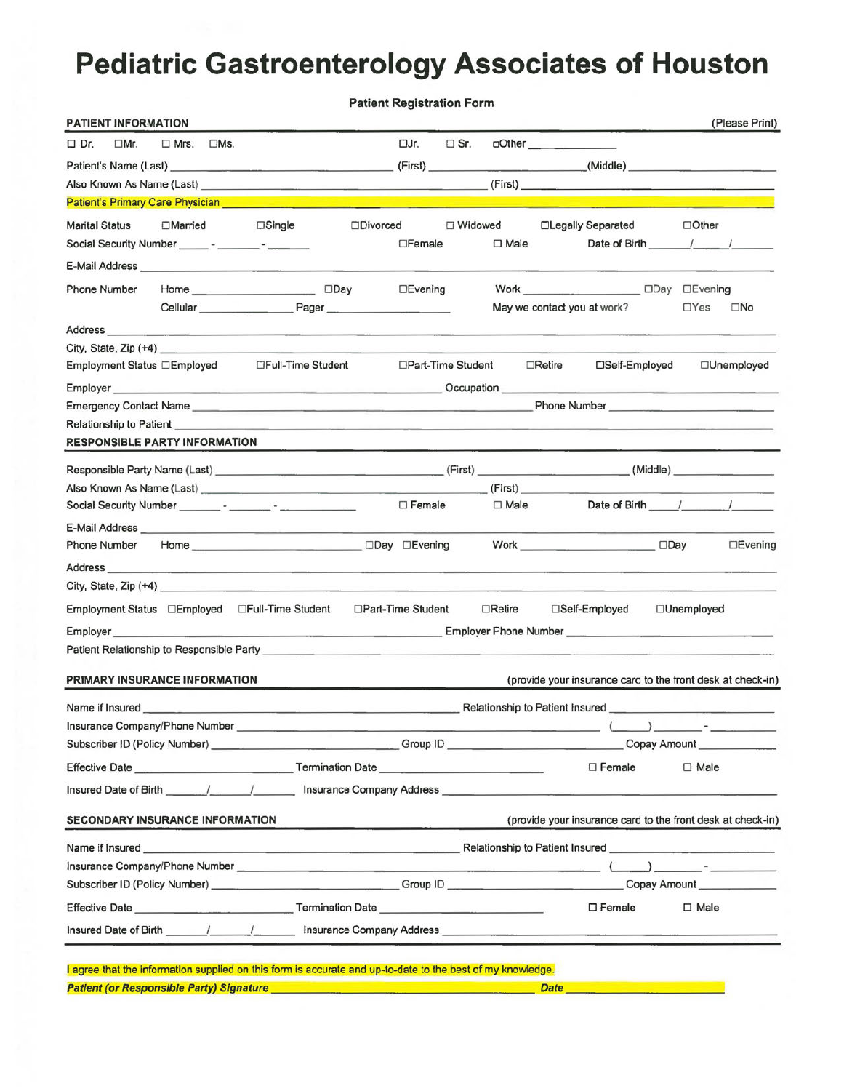# **Pediatric Gastroenterology Associates of Houston**

|                                        |             |            |                                                                                                                                                                                                                                      |                  | <b>Patient Registration Form</b> |               |                |               |                                                                                                                                                                                                                                                           |                                                        |                |                |
|----------------------------------------|-------------|------------|--------------------------------------------------------------------------------------------------------------------------------------------------------------------------------------------------------------------------------------|------------------|----------------------------------|---------------|----------------|---------------|-----------------------------------------------------------------------------------------------------------------------------------------------------------------------------------------------------------------------------------------------------------|--------------------------------------------------------|----------------|----------------|
| PATIENT INFORMATION                    |             |            |                                                                                                                                                                                                                                      |                  |                                  |               |                |               |                                                                                                                                                                                                                                                           |                                                        | (Please Print) |                |
| $\Box$ Mr.<br>$\Box$ Dr.               | $\Box$ Mrs. | $\Box$ Ms. |                                                                                                                                                                                                                                      |                  | □Jr.                             | $\square$ Sr. |                | $\Box$ Other  |                                                                                                                                                                                                                                                           |                                                        |                |                |
|                                        |             |            |                                                                                                                                                                                                                                      |                  |                                  |               |                |               |                                                                                                                                                                                                                                                           |                                                        |                |                |
|                                        |             |            |                                                                                                                                                                                                                                      |                  |                                  |               |                |               |                                                                                                                                                                                                                                                           |                                                        |                |                |
|                                        |             |            | <b>Patient's Primary Care Physician</b> and the proportional control of the proportion of the proportion of the proportion of the proportion of the proportion of the proportion of the proportion of the proportion of the proport  |                  |                                  |               |                |               |                                                                                                                                                                                                                                                           |                                                        |                |                |
| <b>Marital Status</b>                  |             |            | $\Box$ Married $\Box$ Single                                                                                                                                                                                                         | <b>ODivorced</b> |                                  | □ Widowed     |                |               | □Legally Separated                                                                                                                                                                                                                                        | $\Box$ Other                                           |                |                |
|                                        |             |            |                                                                                                                                                                                                                                      |                  | $\Box$ Female                    |               | $\square$ Male |               | Date of Birth / /                                                                                                                                                                                                                                         |                                                        |                |                |
|                                        |             |            | E-Mail Address <b>E-Mail Address</b>                                                                                                                                                                                                 |                  |                                  |               |                |               |                                                                                                                                                                                                                                                           |                                                        |                |                |
| <b>Phone Number</b>                    |             |            | Home _________________________ □Day                                                                                                                                                                                                  |                  | $\Box$ Evening                   |               |                |               |                                                                                                                                                                                                                                                           |                                                        |                |                |
|                                        |             |            | Cellular Pager                                                                                                                                                                                                                       |                  |                                  |               |                |               | May we contact you at work?                                                                                                                                                                                                                               | $\Box$ Yes                                             | $\square$ No   |                |
|                                        |             |            |                                                                                                                                                                                                                                      |                  |                                  |               |                |               |                                                                                                                                                                                                                                                           |                                                        |                |                |
|                                        |             |            | City, State, Zip (+4) <u>experience</u> and the state of the state of the state of the state of the state of the state of the state of the state of the state of the state of the state of the state of the state of the state of t  |                  |                                  |               |                |               |                                                                                                                                                                                                                                                           |                                                        |                |                |
| Employment Status □Employed            |             |            | □Full-Time Student                                                                                                                                                                                                                   |                  | □Part-Time Student               |               |                | $\Box$ Retire | □Self-Employed                                                                                                                                                                                                                                            |                                                        | □Unemployed    |                |
|                                        |             |            |                                                                                                                                                                                                                                      |                  |                                  |               |                |               |                                                                                                                                                                                                                                                           |                                                        |                |                |
|                                        |             |            |                                                                                                                                                                                                                                      |                  |                                  |               |                |               | <b>Phone Number</b> Phone 2014                                                                                                                                                                                                                            |                                                        |                |                |
|                                        |             |            | Relationship to Patient <b>Exercise Contract Contract Contract Contract Contract Contract Contract Contract Contract Contract Contract Contract Contract Contract Contract Contract Contract Contract Contract Contract Contract</b> |                  |                                  |               |                |               |                                                                                                                                                                                                                                                           |                                                        |                |                |
| <b>RESPONSIBLE PARTY INFORMATION</b>   |             |            |                                                                                                                                                                                                                                      |                  |                                  |               |                |               |                                                                                                                                                                                                                                                           |                                                        |                |                |
|                                        |             |            |                                                                                                                                                                                                                                      |                  |                                  |               |                |               |                                                                                                                                                                                                                                                           |                                                        |                |                |
|                                        |             |            |                                                                                                                                                                                                                                      |                  |                                  |               |                |               | (First)                                                                                                                                                                                                                                                   |                                                        |                |                |
|                                        |             |            |                                                                                                                                                                                                                                      |                  | $\Box$ Female                    |               |                | $\Box$ Male   | Date of Birth / /                                                                                                                                                                                                                                         |                                                        |                |                |
|                                        |             |            |                                                                                                                                                                                                                                      |                  |                                  |               |                |               |                                                                                                                                                                                                                                                           |                                                        |                |                |
| Phone Number                           |             |            |                                                                                                                                                                                                                                      |                  |                                  |               |                |               | Work <u>________</u> _________________                                                                                                                                                                                                                    | $\square$ Day                                          |                | $\Box$ Evening |
| Address                                |             |            | <u> 1980 - Jan Samuel Barris, margaret al II-lea (b. 1981)</u>                                                                                                                                                                       |                  |                                  |               |                |               |                                                                                                                                                                                                                                                           |                                                        |                |                |
|                                        |             |            | City, State, $\overline{z}$ ip (+4)                                                                                                                                                                                                  |                  |                                  |               |                |               |                                                                                                                                                                                                                                                           |                                                        |                |                |
|                                        |             |            | Employment Status DEmployed DFull-Time Student                                                                                                                                                                                       |                  | □Part-Time Student               |               | $\Box$ Retire  |               | □Self-Employed                                                                                                                                                                                                                                            | □Unemployed                                            |                |                |
|                                        |             |            |                                                                                                                                                                                                                                      |                  |                                  |               |                |               |                                                                                                                                                                                                                                                           |                                                        |                |                |
|                                        |             |            |                                                                                                                                                                                                                                      |                  |                                  |               |                |               |                                                                                                                                                                                                                                                           |                                                        |                |                |
|                                        |             |            |                                                                                                                                                                                                                                      |                  |                                  |               |                |               |                                                                                                                                                                                                                                                           |                                                        |                |                |
| PRIMARY INSURANCE INFORMATION          |             |            |                                                                                                                                                                                                                                      |                  |                                  |               |                |               | (provide your insurance card to the front desk at check-in)                                                                                                                                                                                               |                                                        |                |                |
| Name if Insured                        |             |            |                                                                                                                                                                                                                                      |                  |                                  |               |                |               |                                                                                                                                                                                                                                                           |                                                        |                |                |
|                                        |             |            |                                                                                                                                                                                                                                      |                  |                                  |               |                |               |                                                                                                                                                                                                                                                           |                                                        |                |                |
|                                        |             |            |                                                                                                                                                                                                                                      |                  |                                  |               |                |               |                                                                                                                                                                                                                                                           | Copay Amount                                           |                |                |
|                                        |             |            |                                                                                                                                                                                                                                      |                  |                                  |               |                |               | $\Box$ Female                                                                                                                                                                                                                                             | $\Box$ Male                                            |                |                |
| Insured Date of Birth 11 1             |             |            |                                                                                                                                                                                                                                      |                  |                                  |               |                |               | Insurance Company Address <b>Company Address Company Address Company Address Company Address Company</b> Address <b>Company</b> Address <b>Company</b> Address <b>Company</b> Address <b>Company</b> Address <b>Company</b> Address <b>Company</b> Addres |                                                        |                |                |
| <b>SECONDARY INSURANCE INFORMATION</b> |             |            |                                                                                                                                                                                                                                      |                  |                                  |               |                |               | (provide your insurance card to the front desk at check-in)                                                                                                                                                                                               |                                                        |                |                |
| Name if insured                        |             |            |                                                                                                                                                                                                                                      |                  |                                  |               |                |               |                                                                                                                                                                                                                                                           |                                                        |                |                |
|                                        |             |            |                                                                                                                                                                                                                                      |                  |                                  |               |                |               |                                                                                                                                                                                                                                                           | $\rightarrow$ . The contract of the contract of $\sim$ |                |                |
|                                        |             |            |                                                                                                                                                                                                                                      |                  |                                  |               |                |               |                                                                                                                                                                                                                                                           | Copay Amount                                           |                |                |
|                                        |             |            |                                                                                                                                                                                                                                      |                  |                                  |               |                |               | $\square$ Female                                                                                                                                                                                                                                          | $\square$ Male                                         |                |                |
|                                        |             |            | Insured Date of Birth 1997 / Insurance Company Address <b>Community</b> 1997                                                                                                                                                         |                  |                                  |               |                |               |                                                                                                                                                                                                                                                           |                                                        |                |                |
|                                        |             |            |                                                                                                                                                                                                                                      |                  |                                  |               |                |               |                                                                                                                                                                                                                                                           |                                                        |                |                |
|                                        |             |            | I agree that the information supplied on this form is accurate and up-to-date to the best of my knowledge.                                                                                                                           |                  |                                  |               |                |               | <b>Date Date <i>Contract Contract Contract Contract Contract Contract Contract Contract Contract Contract Contract Contract Contract Contract Contract Contract Contract Contract Contract Contract Contract Contract Contract</i></b>                    |                                                        |                |                |
|                                        |             |            |                                                                                                                                                                                                                                      |                  |                                  |               |                |               |                                                                                                                                                                                                                                                           |                                                        |                |                |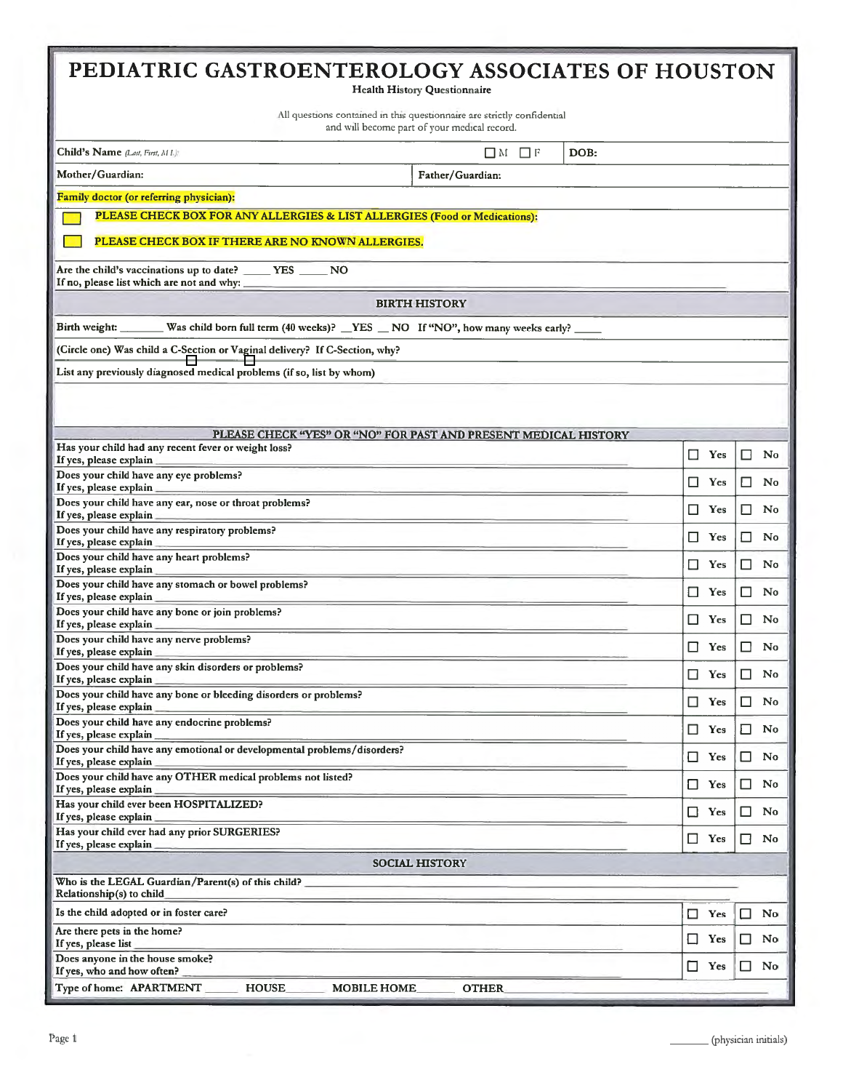| PEDIATRIC GASTROENTEROLOGY ASSOCIATES OF HOUSTON<br><b>Health History Questionnaire</b>                                 |               |                      |  |  |  |  |  |  |
|-------------------------------------------------------------------------------------------------------------------------|---------------|----------------------|--|--|--|--|--|--|
| All questions contained in this questionnaire are strictly confidential<br>and will become part of your medical record. |               |                      |  |  |  |  |  |  |
| Child's Name (Last, First, M L):<br>$\Box$ M $\Box$ F<br>DOB:                                                           |               |                      |  |  |  |  |  |  |
| Mother/Guardian:<br>Father/Guardian:                                                                                    |               |                      |  |  |  |  |  |  |
| Family doctor (or referring physician):                                                                                 |               |                      |  |  |  |  |  |  |
| PLEASE CHECK BOX FOR ANY ALLERGIES & LIST ALLERGIES (Food or Medications):                                              |               |                      |  |  |  |  |  |  |
| PLEASE CHECK BOX IF THERE ARE NO KNOWN ALLERGIES.                                                                       |               |                      |  |  |  |  |  |  |
| Are the child's vaccinations up to date? _____ YES _____ NO<br>If no, please list which are not and why:                |               |                      |  |  |  |  |  |  |
| <b>BIRTH HISTORY</b>                                                                                                    |               |                      |  |  |  |  |  |  |
| Birth weight: Was child born full term (40 weeks)? NES NO If "NO", how many weeks early?                                |               |                      |  |  |  |  |  |  |
| (Circle one) Was child a C-Section or Vaginal delivery? If C-Section, why?                                              |               |                      |  |  |  |  |  |  |
| List any previously diagnosed medical problems (if so, list by whom)                                                    |               |                      |  |  |  |  |  |  |
|                                                                                                                         |               |                      |  |  |  |  |  |  |
|                                                                                                                         |               |                      |  |  |  |  |  |  |
| PLEASE CHECK "YES" OR "NO" FOR PAST AND PRESENT MEDICAL HISTORY<br>Has your child had any recent fever or weight loss?  |               |                      |  |  |  |  |  |  |
| If yes, please explain                                                                                                  | □<br>Yes      | □<br>No              |  |  |  |  |  |  |
| Does your child have any eye problems?<br>If yes, please explain                                                        | ⊔<br>Yes      | ப<br>No              |  |  |  |  |  |  |
| Does your child have any ear, nose or throat problems?<br>If yes, please explain                                        | □<br>Yes      | LΙ<br>No             |  |  |  |  |  |  |
| Does your child have any respiratory problems?<br>If yes, please explain                                                | □<br>Yes      | ⊔<br>No              |  |  |  |  |  |  |
| Does your child have any heart problems?<br>If yes, please explain                                                      | Yes<br>ப      | No<br>ப              |  |  |  |  |  |  |
| Does your child have any stomach or bowel problems?                                                                     | □<br>Yes      | No<br>$\Box$         |  |  |  |  |  |  |
| If yes, please explain<br>Does your child have any bone or join problems?                                               | □<br>Yes      | □<br>No              |  |  |  |  |  |  |
| If yes, please explain<br>Does your child have any nerve problems?                                                      | □<br>Yes      | No<br>ப              |  |  |  |  |  |  |
| If yes, please explain<br>Does your child have any skin disorders or problems?                                          |               |                      |  |  |  |  |  |  |
| If yes, please explain<br>Does your child have any bone or bleeding disorders or problems?                              | $\Box$<br>Yes | $\Box$<br>No         |  |  |  |  |  |  |
| If yes, please explain                                                                                                  | Yes           | No<br>ш              |  |  |  |  |  |  |
| Does your child have any endocrine problems?<br>If yes, please explain                                                  | □.<br>Yes     | No<br>□              |  |  |  |  |  |  |
| Does your child have any emotional or developmental problems/disorders?<br>If yes, please explain                       | $\Box$ Yes    | □<br>No              |  |  |  |  |  |  |
| Does your child have any OTHER medical problems not listed?<br>If yes, please explain                                   | □<br>Yes      | No<br>ப              |  |  |  |  |  |  |
| Has your child ever been HOSPITALIZED?<br>If yes, please explain                                                        | $\Box$<br>Yes | □<br>No              |  |  |  |  |  |  |
| Has your child ever had any prior SURGERIES?<br>If yes, please explain                                                  | □<br>Yes      | □<br>N <sub>0</sub>  |  |  |  |  |  |  |
| <b>SOCIAL HISTORY</b>                                                                                                   |               |                      |  |  |  |  |  |  |
| Who is the LEGAL Guardian/Parent(s) of this child?<br>Relationship(s) to child                                          |               |                      |  |  |  |  |  |  |
| Is the child adopted or in foster care?                                                                                 | Yes<br>□      | No<br>□              |  |  |  |  |  |  |
| Are there pets in the home?<br>If yes, please list                                                                      | □<br>Yes      | $\Box$<br>No         |  |  |  |  |  |  |
| Does anyone in the house smoke?                                                                                         | □<br>Yes      | No<br>□              |  |  |  |  |  |  |
| If yes, who and how often?<br>Type of home: APARTMENT<br><b>HOUSE</b><br><b>MOBILE HOME</b><br><b>OTHER</b>             |               |                      |  |  |  |  |  |  |
|                                                                                                                         |               |                      |  |  |  |  |  |  |
| Page 1                                                                                                                  |               | (physician initials) |  |  |  |  |  |  |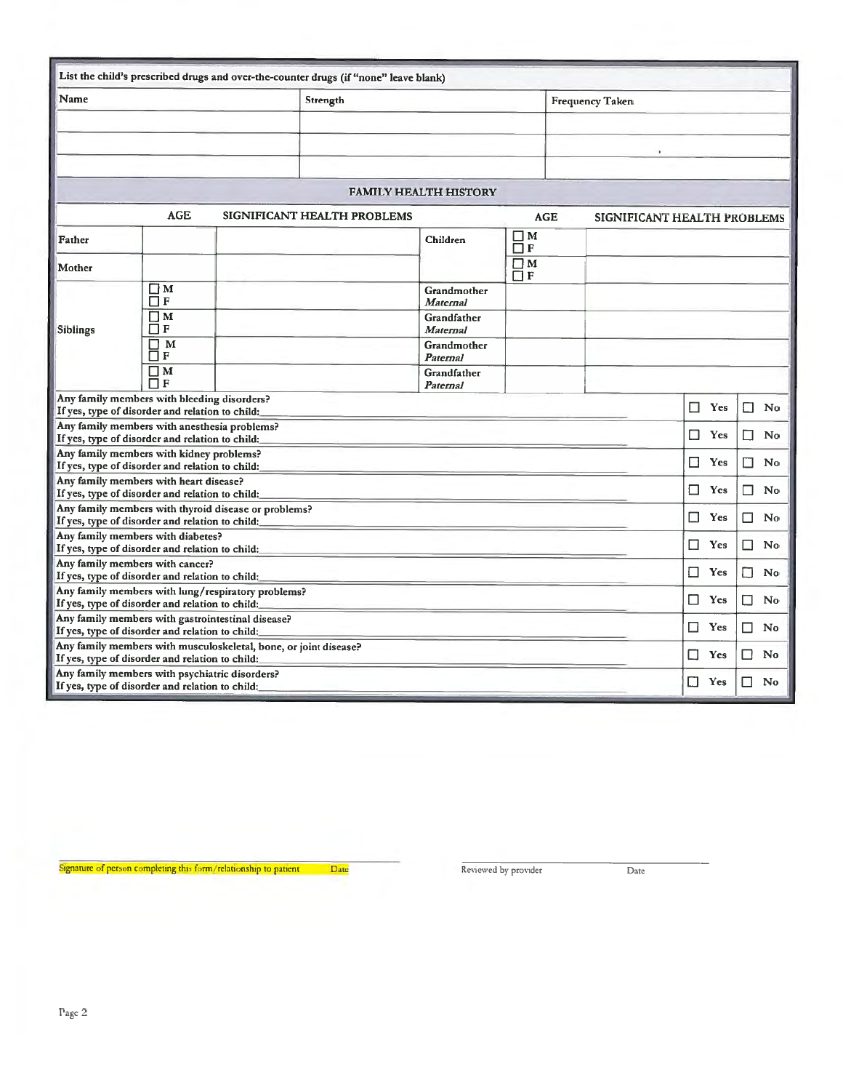|                                                                                                       |                                                 |                                                                  | List the child's prescribed drugs and over-the-counter drugs (if "none" leave blank) |                                |                      |            |                             |              |              |  |  |
|-------------------------------------------------------------------------------------------------------|-------------------------------------------------|------------------------------------------------------------------|--------------------------------------------------------------------------------------|--------------------------------|----------------------|------------|-----------------------------|--------------|--------------|--|--|
| Name                                                                                                  |                                                 |                                                                  | Strength                                                                             |                                |                      |            | <b>Frequency Taken</b>      |              |              |  |  |
|                                                                                                       |                                                 |                                                                  |                                                                                      |                                |                      |            |                             |              |              |  |  |
|                                                                                                       |                                                 |                                                                  |                                                                                      |                                |                      |            |                             |              |              |  |  |
|                                                                                                       |                                                 |                                                                  |                                                                                      |                                |                      |            |                             |              |              |  |  |
|                                                                                                       |                                                 |                                                                  |                                                                                      |                                |                      |            |                             |              |              |  |  |
|                                                                                                       |                                                 |                                                                  |                                                                                      | <b>FAMILY HEALTH HISTORY</b>   |                      |            |                             |              |              |  |  |
|                                                                                                       | <b>AGE</b>                                      |                                                                  | SIGNIFICANT HEALTH PROBLEMS                                                          |                                |                      | <b>AGE</b> | SIGNIFICANT HEALTH PROBLEMS |              |              |  |  |
| Father                                                                                                |                                                 |                                                                  |                                                                                      | Children                       | $\Box$ M<br>$\Box$ F |            |                             |              |              |  |  |
| Mother                                                                                                |                                                 |                                                                  |                                                                                      |                                | $\Box M$<br>$\Box F$ |            |                             |              |              |  |  |
|                                                                                                       | $\Box$ M<br>$\Box$ F                            |                                                                  |                                                                                      | Grandmother<br><b>Maternal</b> |                      |            |                             |              |              |  |  |
| <b>Siblings</b>                                                                                       | $\Box$ M<br>$\Box$ F                            |                                                                  |                                                                                      | Grandfather<br><b>Maternal</b> |                      |            |                             |              |              |  |  |
|                                                                                                       | $\Box$ M<br>$\Box$ F                            |                                                                  |                                                                                      | Grandmother<br>Paternal        |                      |            |                             |              |              |  |  |
|                                                                                                       | $\Box$ M<br>$\Box$ F                            |                                                                  |                                                                                      | Grandfather<br>Paternal        |                      |            |                             |              |              |  |  |
|                                                                                                       | Any family members with bleeding disorders?     |                                                                  |                                                                                      |                                |                      |            | П<br>Yes                    | П<br>No      |              |  |  |
| If yes, type of disorder and relation to child:<br>Any family members with anesthesia problems?       |                                                 |                                                                  |                                                                                      |                                |                      |            |                             |              |              |  |  |
| If yes, type of disorder and relation to child:                                                       |                                                 |                                                                  |                                                                                      |                                |                      |            |                             | □<br>Yes     | П<br>No      |  |  |
| Any family members with kidney problems?                                                              |                                                 |                                                                  |                                                                                      |                                |                      |            |                             | □<br>Yes     | □<br>No      |  |  |
| If yes, type of disorder and relation to child:                                                       |                                                 |                                                                  |                                                                                      |                                |                      |            |                             |              |              |  |  |
| Any family members with heart disease?<br>If yes, type of disorder and relation to child:             |                                                 |                                                                  |                                                                                      |                                |                      |            |                             | □<br>Yes     | No<br>ΙI     |  |  |
|                                                                                                       |                                                 | Any family members with thyroid disease or problems?             |                                                                                      |                                |                      |            |                             |              |              |  |  |
| If yes, type of disorder and relation to child:                                                       |                                                 |                                                                  |                                                                                      |                                |                      |            |                             | □<br>Yes     | □<br>No      |  |  |
| Any family members with diabetes?                                                                     |                                                 |                                                                  |                                                                                      |                                |                      |            | □<br>Yes                    | No<br>$\Box$ |              |  |  |
| If yes, type of disorder and relation to child:                                                       |                                                 |                                                                  |                                                                                      |                                |                      |            |                             |              |              |  |  |
| Any family members with cancer?                                                                       |                                                 |                                                                  |                                                                                      |                                |                      |            | □<br>Yes                    | П<br>No      |              |  |  |
| If yes, type of disorder and relation to child:<br>Any family members with lung/respiratory problems? |                                                 |                                                                  |                                                                                      |                                |                      |            |                             |              |              |  |  |
| If yes, type of disorder and relation to child:                                                       |                                                 |                                                                  |                                                                                      |                                |                      |            |                             | П<br>Yes     | П<br>No      |  |  |
|                                                                                                       |                                                 | Any family members with gastrointestinal disease?                |                                                                                      |                                |                      |            |                             |              |              |  |  |
| If yes, type of disorder and relation to child:                                                       |                                                 |                                                                  |                                                                                      |                                |                      |            |                             | Yes<br>□     | $\Box$<br>No |  |  |
| If yes, type of disorder and relation to child:                                                       |                                                 | Any family members with musculoskeletal, bone, or joint disease? |                                                                                      |                                |                      |            |                             | □<br>Yes     | П<br>No      |  |  |
| Any family members with psychiatric disorders?                                                        |                                                 |                                                                  |                                                                                      |                                |                      |            |                             | П<br>Yes     | No<br>H      |  |  |
|                                                                                                       | If yes, type of disorder and relation to child: |                                                                  |                                                                                      |                                |                      |            |                             |              |              |  |  |

Signature of person completing this form/relationship to patient Date Reviewed by provider Date Date Date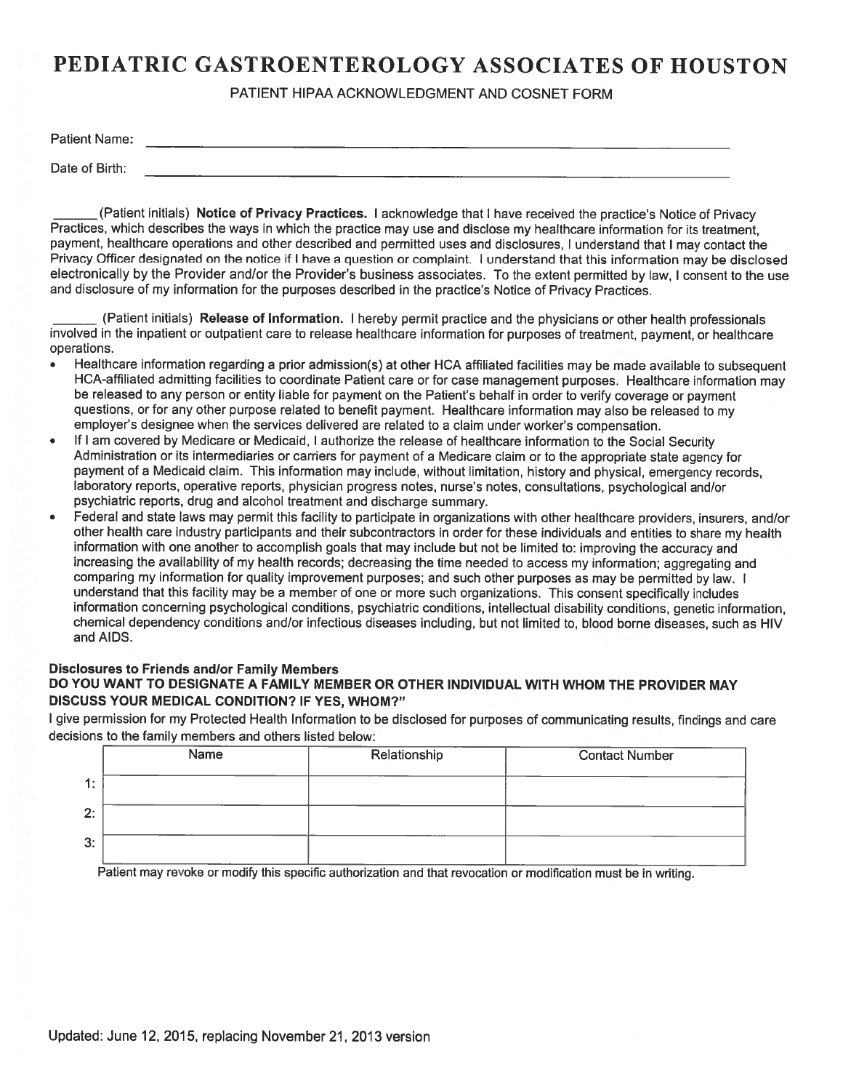PATIENT HIPAA ACKNOWLEDGMENT AND COSNET FORM

| <b>Patient Name:</b> |  |       |  |  |      |  |
|----------------------|--|-------|--|--|------|--|
|                      |  | _____ |  |  | ---- |  |
|                      |  |       |  |  |      |  |

Date of Birth:

 payment, healthcare operations and other described and permitted uses and disclosures, I understand that I may contact the electronically by the Provider and/or the Provider's business associates. To the extent permitted by law, I consent to the use and disclosure of my information for the purposes described in the practice's Notice of Privacy Practices. \_\_\_\_\_\_ (Patient initials) **Notice of Privacy Practices.** I acknowledge that I have received the practice's Notice of Privacy Practices, which describes the ways in which the practice may use and disclose my healthcare information for its treatment, Privacy Officer designated on the notice if I have a question or complaint. I understand that this information may be disclosed

 operations. \_\_\_\_\_\_ (Patient initials) **Release of Information.** I hereby permit practice and the physicians or other health professionals involved in the inpatient or outpatient care to release healthcare information for purposes of treatment, payment, or healthcare

- Healthcare information regarding a prior admission(s) at other HCA affiliated facilities may be made available to subsequent HCA-affiliated admitting facilities to coordinate Patient care or for case management purposes. Healthcare information may questions, or for any other purpose related to benefit payment. Healthcare information may also be released to my employer's designee when the services delivered are related to a claim under worker's compensation. be released to any person or entity liable for payment on the Patient's behalf in order to verify coverage or payment
- payment of a Medicaid claim. This information may include, without limitation, history and physical, emergency records, psychiatric reports, drug and alcohol treatment and discharge summary. If I am covered by Medicare or Medicaid, I authorize the release of healthcare information to the Social Security Administration or its intermediaries or carriers for payment of a Medicare claim or to the appropriate state agency for laboratory reports, operative reports, physician progress notes, nurse's notes, consultations, psychological and/or
- comparing my information for quality improvement purposes; and such other purposes as may be permitted by law. I understand that this facility may be a member of one or more such organizations. This consent specifically includes and AIDS. Federal and state laws may permit this facility to participate in organizations with other healthcare providers, insurers, and/or other health care industry participants and their subcontractors in order for these individuals and entities to share my health information with one another to accomplish goals that may include but not be limited to: improving the accuracy and increasing the availability of my health records; decreasing the time needed to access my information; aggregating and information concerning psychological conditions, psychiatric conditions, intellectual disability conditions, genetic information, chemical dependency conditions and/or infectious diseases including, but not limited to, blood borne diseases, such as HIV **PEDIATRIC GASTROENTEROLOGY ASSOCIATES OF HOUSTON**<br>
PARK Nemet<br>
Park Nemet<br>
Distributed Philadel According Distributed Philadel Basebase Control Control Control Control Control Control Control Control Control Control Contr

### **Disclosures to Friends and/or Family Members DO YOU WANT TO DESIGNATE A FAMILY MEMBER OR OTHER INDIVIDUAL WITH WHOM THE PROVIDER MAY DISCUSS YOUR MEDICAL CONDITION? IF YES, WHOM?"**

I give permission for my Protected Health Information to be disclosed for purposes of communicating results, findings and care decisions to the family members and others listed below:

|    | Name | Relationship | <b>Contact Number</b> |
|----|------|--------------|-----------------------|
| 1: |      |              |                       |
| 2: |      |              |                       |
| 3: |      |              |                       |

Patient may revoke or modify this specific authorization and that revocation or modification must be in writing.